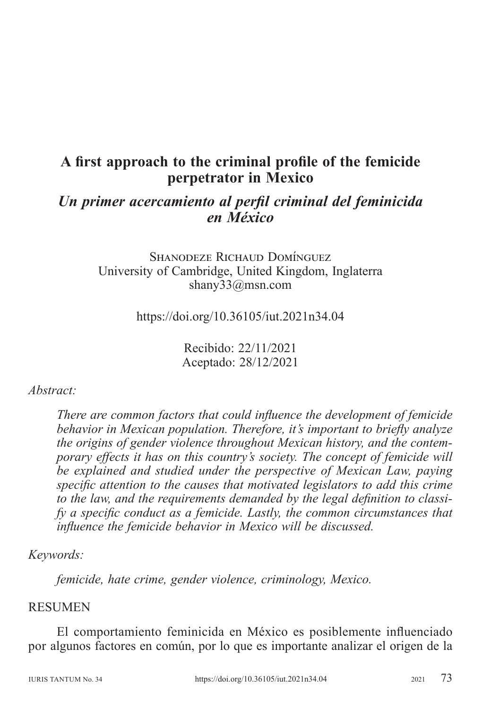# **A first approach to the criminal profile of the femicide perpetrator in Mexico**

## *Un primer acercamiento al perfil criminal del feminicida en México*

Shanodeze Richaud Domínguez University of Cambridge, United Kingdom, Inglaterra shany33@msn.com

https://doi.org/10.36105/iut.2021n34.04

Recibido: 22/11/2021 Aceptado: 28/12/2021

#### *Abstract:*

*There are common factors that could influence the development of femicide behavior in Mexican population. Therefore, it's important to briefly analyze the origins of gender violence throughout Mexican history, and the contemporary effects it has on this country's society. The concept of femicide will be explained and studied under the perspective of Mexican Law, paying specific attention to the causes that motivated legislators to add this crime to the law, and the requirements demanded by the legal definition to classify a specific conduct as a femicide. Lastly, the common circumstances that influence the femicide behavior in Mexico will be discussed.*

## *Keywords:*

*femicide, hate crime, gender violence, criminology, Mexico.*

#### **RESUMEN**

El comportamiento feminicida en México es posiblemente influenciado por algunos factores en común, por lo que es importante analizar el origen de la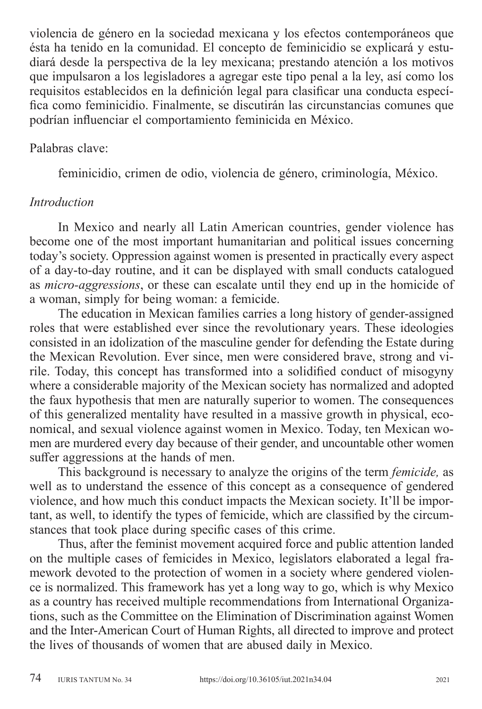violencia de género en la sociedad mexicana y los efectos contemporáneos que ésta ha tenido en la comunidad. El concepto de feminicidio se explicará y estudiará desde la perspectiva de la ley mexicana; prestando atención a los motivos que impulsaron a los legisladores a agregar este tipo penal a la ley, así como los requisitos establecidos en la definición legal para clasificar una conducta específica como feminicidio. Finalmente, se discutirán las circunstancias comunes que podrían influenciar el comportamiento feminicida en México.

#### Palabras clave:

feminicidio, crimen de odio, violencia de género, criminología, México.

#### *Introduction*

In Mexico and nearly all Latin American countries, gender violence has become one of the most important humanitarian and political issues concerning today's society. Oppression against women is presented in practically every aspect of a day-to-day routine, and it can be displayed with small conducts catalogued as *micro-aggressions*, or these can escalate until they end up in the homicide of a woman, simply for being woman: a femicide.

The education in Mexican families carries a long history of gender-assigned roles that were established ever since the revolutionary years. These ideologies consisted in an idolization of the masculine gender for defending the Estate during the Mexican Revolution. Ever since, men were considered brave, strong and virile. Today, this concept has transformed into a solidified conduct of misogyny where a considerable majority of the Mexican society has normalized and adopted the faux hypothesis that men are naturally superior to women. The consequences of this generalized mentality have resulted in a massive growth in physical, economical, and sexual violence against women in Mexico. Today, ten Mexican women are murdered every day because of their gender, and uncountable other women suffer aggressions at the hands of men.

This background is necessary to analyze the origins of the term *femicide,* as well as to understand the essence of this concept as a consequence of gendered violence, and how much this conduct impacts the Mexican society. It'll be important, as well, to identify the types of femicide, which are classified by the circumstances that took place during specific cases of this crime.

Thus, after the feminist movement acquired force and public attention landed on the multiple cases of femicides in Mexico, legislators elaborated a legal framework devoted to the protection of women in a society where gendered violence is normalized. This framework has yet a long way to go, which is why Mexico as a country has received multiple recommendations from International Organizations, such as the Committee on the Elimination of Discrimination against Women and the Inter-American Court of Human Rights, all directed to improve and protect the lives of thousands of women that are abused daily in Mexico.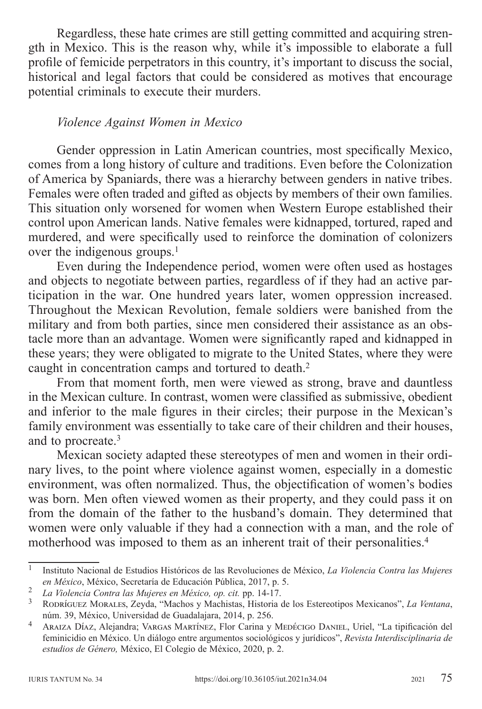Regardless, these hate crimes are still getting committed and acquiring strength in Mexico. This is the reason why, while it's impossible to elaborate a full profile of femicide perpetrators in this country, it's important to discuss the social, historical and legal factors that could be considered as motives that encourage potential criminals to execute their murders.

#### *Violence Against Women in Mexico*

Gender oppression in Latin American countries, most specifically Mexico, comes from a long history of culture and traditions. Even before the Colonization of America by Spaniards, there was a hierarchy between genders in native tribes. Females were often traded and gifted as objects by members of their own families. This situation only worsened for women when Western Europe established their control upon American lands. Native females were kidnapped, tortured, raped and murdered, and were specifically used to reinforce the domination of colonizers over the indigenous groups.<sup>1</sup>

Even during the Independence period, women were often used as hostages and objects to negotiate between parties, regardless of if they had an active participation in the war. One hundred years later, women oppression increased. Throughout the Mexican Revolution, female soldiers were banished from the military and from both parties, since men considered their assistance as an obstacle more than an advantage. Women were significantly raped and kidnapped in these years; they were obligated to migrate to the United States, where they were caught in concentration camps and tortured to death.<sup>2</sup>

From that moment forth, men were viewed as strong, brave and dauntless in the Mexican culture. In contrast, women were classified as submissive, obedient and inferior to the male figures in their circles; their purpose in the Mexican's family environment was essentially to take care of their children and their houses, and to procreate.<sup>3</sup>

Mexican society adapted these stereotypes of men and women in their ordinary lives, to the point where violence against women, especially in a domestic environment, was often normalized. Thus, the objectification of women's bodies was born. Men often viewed women as their property, and they could pass it on from the domain of the father to the husband's domain. They determined that women were only valuable if they had a connection with a man, and the role of motherhood was imposed to them as an inherent trait of their personalities.4

<sup>1</sup> Instituto Nacional de Estudios Históricos de las Revoluciones de México, *La Violencia Contra las Mujeres*  en México, México, Secretaría de Educación Pública, 2017, p. 5.<br><sup>2</sup> La Violencia Contra las Mujeres en México, op. cit. pp. 14-17.<br><sup>3</sup> RODRÍGUEZ MORALES, Zeyda, "Machos y Machistas, Historia de los Estereotipos Mexicanos",

núm. 39, México, Universidad de Guadalajara, 2014, p. 256. <sup>4</sup> Araiza Díaz, Alejandra; Vargas Martínez, Flor Carina y Medécigo Daniel, Uriel, "La tipificación del

feminicidio en México. Un diálogo entre argumentos sociológicos y jurídicos", *Revista Interdisciplinaria de estudios de Género,* México, El Colegio de México, 2020, p. 2.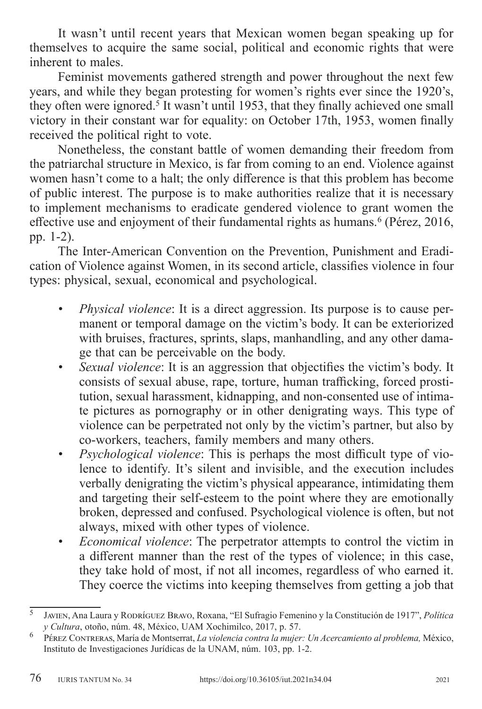It wasn't until recent years that Mexican women began speaking up for themselves to acquire the same social, political and economic rights that were inherent to males.

Feminist movements gathered strength and power throughout the next few years, and while they began protesting for women's rights ever since the 1920's, they often were ignored.<sup>5</sup> It wasn't until 1953, that they finally achieved one small victory in their constant war for equality: on October 17th, 1953, women finally received the political right to vote.

Nonetheless, the constant battle of women demanding their freedom from the patriarchal structure in Mexico, is far from coming to an end. Violence against women hasn't come to a halt; the only difference is that this problem has become of public interest. The purpose is to make authorities realize that it is necessary to implement mechanisms to eradicate gendered violence to grant women the effective use and enjoyment of their fundamental rights as humans.<sup>6</sup> (Pérez, 2016, pp. 1-2).

The Inter-American Convention on the Prevention, Punishment and Eradication of Violence against Women, in its second article, classifies violence in four types: physical, sexual, economical and psychological.

- *• Physical violence*: It is a direct aggression. Its purpose is to cause permanent or temporal damage on the victim's body. It can be exteriorized with bruises, fractures, sprints, slaps, manhandling, and any other damage that can be perceivable on the body.
- *• Sexual violence*: It is an aggression that objectifies the victim's body. It consists of sexual abuse, rape, torture, human trafficking, forced prostitution, sexual harassment, kidnapping, and non-consented use of intimate pictures as pornography or in other denigrating ways. This type of violence can be perpetrated not only by the victim's partner, but also by co-workers, teachers, family members and many others.
- *• Psychological violence*: This is perhaps the most difficult type of violence to identify. It's silent and invisible, and the execution includes verbally denigrating the victim's physical appearance, intimidating them and targeting their self-esteem to the point where they are emotionally broken, depressed and confused. Psychological violence is often, but not always, mixed with other types of violence.
- *• Economical violence*: The perpetrator attempts to control the victim in a different manner than the rest of the types of violence; in this case, they take hold of most, if not all incomes, regardless of who earned it. They coerce the victims into keeping themselves from getting a job that

<sup>5</sup> Javien, Ana Laura y Rodríguez Bravo, Roxana, "El Sufragio Femenino y la Constitución de 1917", *Política y Cultura*, otoño, núm. 48, México, UAM Xochimilco, 2017, p. 57. <sup>6</sup> Pérez Contreras, María de Montserrat, *La violencia contra la mujer: Un Acercamiento al problema,* México,

Instituto de Investigaciones Jurídicas de la UNAM, núm. 103, pp. 1-2.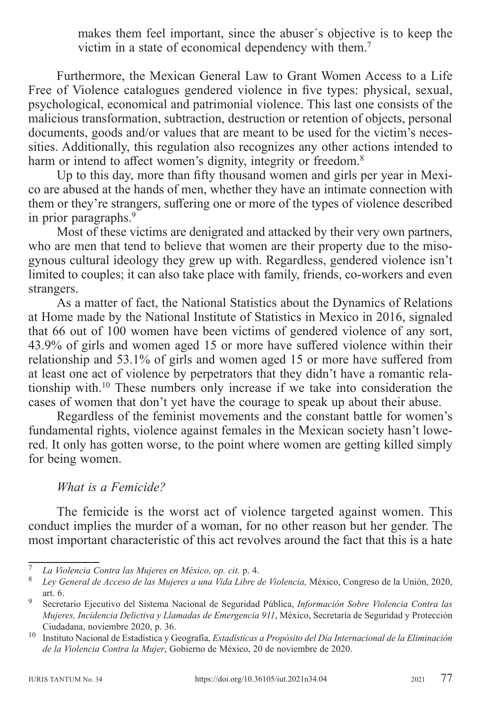makes them feel important, since the abuser´s objective is to keep the victim in a state of economical dependency with them.<sup>7</sup>

Furthermore, the Mexican General Law to Grant Women Access to a Life Free of Violence catalogues gendered violence in five types: physical, sexual, psychological, economical and patrimonial violence. This last one consists of the malicious transformation, subtraction, destruction or retention of objects, personal documents, goods and/or values that are meant to be used for the victim's necessities. Additionally, this regulation also recognizes any other actions intended to harm or intend to affect women's dignity, integrity or freedom.<sup>8</sup>

Up to this day, more than fifty thousand women and girls per year in Mexico are abused at the hands of men, whether they have an intimate connection with them or they're strangers, suffering one or more of the types of violence described in prior paragraphs.9

Most of these victims are denigrated and attacked by their very own partners, who are men that tend to believe that women are their property due to the misogynous cultural ideology they grew up with. Regardless, gendered violence isn't limited to couples; it can also take place with family, friends, co-workers and even strangers.

As a matter of fact, the National Statistics about the Dynamics of Relations at Home made by the National Institute of Statistics in Mexico in 2016, signaled that 66 out of 100 women have been victims of gendered violence of any sort, 43.9% of girls and women aged 15 or more have suffered violence within their relationship and 53.1% of girls and women aged 15 or more have suffered from at least one act of violence by perpetrators that they didn't have a romantic relationship with.10 These numbers only increase if we take into consideration the cases of women that don't yet have the courage to speak up about their abuse.

Regardless of the feminist movements and the constant battle for women's fundamental rights, violence against females in the Mexican society hasn't lowered. It only has gotten worse, to the point where women are getting killed simply for being women.

#### *What is a Femicide?*

The femicide is the worst act of violence targeted against women. This conduct implies the murder of a woman, for no other reason but her gender. The most important characteristic of this act revolves around the fact that this is a hate

<sup>7</sup> *La Violencia Contra las Mujeres en México, op. cit.* p. 4. <sup>8</sup> *Ley General de Acceso de las Mujeres a una Vida Libre de Violencia,* México, Congreso de la Unión, 2020, art. 6. <sup>9</sup> Secretario Ejecutivo del Sistema Nacional de Seguridad Pública, *Información Sobre Violencia Contra las* 

*Mujeres, Incidencia Delictiva y Llamadas de Emergencia 911*, México, Secretaría de Seguridad y Protección Ciudadana, noviembre 2020, p. 36. <sup>10</sup> Instituto Nacional de Estadística y Geografía, *Estadísticas a Propósito del Día Internacional de la Eliminación* 

*de la Violencia Contra la Mujer*, Gobierno de México, 20 de noviembre de 2020.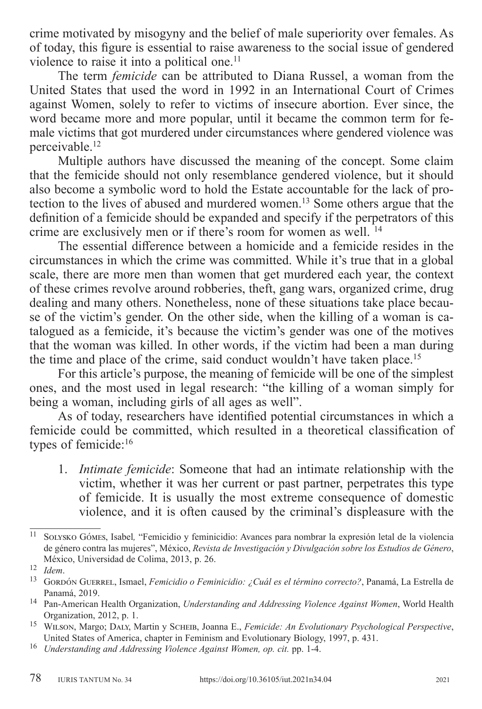crime motivated by misogyny and the belief of male superiority over females. As of today, this figure is essential to raise awareness to the social issue of gendered violence to raise it into a political one.<sup>11</sup>

The term *femicide* can be attributed to Diana Russel, a woman from the United States that used the word in 1992 in an International Court of Crimes against Women, solely to refer to victims of insecure abortion. Ever since, the word became more and more popular, until it became the common term for female victims that got murdered under circumstances where gendered violence was perceivable.12

Multiple authors have discussed the meaning of the concept. Some claim that the femicide should not only resemblance gendered violence, but it should also become a symbolic word to hold the Estate accountable for the lack of protection to the lives of abused and murdered women.13 Some others argue that the definition of a femicide should be expanded and specify if the perpetrators of this crime are exclusively men or if there's room for women as well. 14

The essential difference between a homicide and a femicide resides in the circumstances in which the crime was committed. While it's true that in a global scale, there are more men than women that get murdered each year, the context of these crimes revolve around robberies, theft, gang wars, organized crime, drug dealing and many others. Nonetheless, none of these situations take place because of the victim's gender. On the other side, when the killing of a woman is catalogued as a femicide, it's because the victim's gender was one of the motives that the woman was killed. In other words, if the victim had been a man during the time and place of the crime, said conduct wouldn't have taken place.<sup>15</sup>

For this article's purpose, the meaning of femicide will be one of the simplest ones, and the most used in legal research: "the killing of a woman simply for being a woman, including girls of all ages as well".

As of today, researchers have identified potential circumstances in which a femicide could be committed, which resulted in a theoretical classification of types of femicide:16

1. *Intimate femicide*: Someone that had an intimate relationship with the victim, whether it was her current or past partner, perpetrates this type of femicide. It is usually the most extreme consequence of domestic violence, and it is often caused by the criminal's displeasure with the

<sup>11</sup> Solysko Gómes, Isabel*,* "Femicidio y feminicidio: Avances para nombrar la expresión letal de la violencia de género contra las mujeres", México, *Revista de Investigación y Divulgación sobre los Estudios de Género*, México, Universidad de Colima, 2013, p. 26.<br><sup>12</sup> *Idem.*<br><sup>13</sup> Gordón Guerrel, Ismael, *Femicidio o Feminicidio: ¿Cuál es el término correcto?*, Panamá, La Estrella de

Panamá, 2019. <sup>14</sup> Pan-American Health Organization, *Understanding and Addressing Violence Against Women*, World Health

Organization, 2012, p. 1.<br><sup>15</sup> WILSON, Margo; DALY, Martin y SCHEIB, Joanna E., *Femicide: An Evolutionary Psychological Perspective*,<br>United States of America, chapter in Feminism and Evolutionary Biology, 1997, p. 431.

<sup>&</sup>lt;sup>16</sup> Understanding and Addressing Violence Against Women, op. cit. pp. 1-4.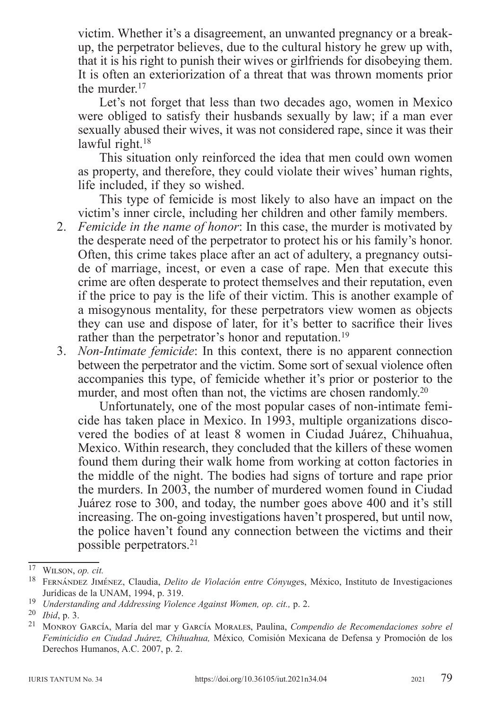victim. Whether it's a disagreement, an unwanted pregnancy or a breakup, the perpetrator believes, due to the cultural history he grew up with, that it is his right to punish their wives or girlfriends for disobeying them. It is often an exteriorization of a threat that was thrown moments prior the murder.<sup>17</sup>

Let's not forget that less than two decades ago, women in Mexico were obliged to satisfy their husbands sexually by law; if a man ever sexually abused their wives, it was not considered rape, since it was their lawful right.<sup>18</sup>

This situation only reinforced the idea that men could own women as property, and therefore, they could violate their wives' human rights, life included, if they so wished.

This type of femicide is most likely to also have an impact on the victim's inner circle, including her children and other family members.

- 2. *Femicide in the name of honor*: In this case, the murder is motivated by the desperate need of the perpetrator to protect his or his family's honor. Often, this crime takes place after an act of adultery, a pregnancy outside of marriage, incest, or even a case of rape. Men that execute this crime are often desperate to protect themselves and their reputation, even if the price to pay is the life of their victim. This is another example of a misogynous mentality, for these perpetrators view women as objects they can use and dispose of later, for it's better to sacrifice their lives rather than the perpetrator's honor and reputation.<sup>19</sup>
- 3. *Non-Intimate femicide*: In this context, there is no apparent connection between the perpetrator and the victim. Some sort of sexual violence often accompanies this type, of femicide whether it's prior or posterior to the murder, and most often than not, the victims are chosen randomly.<sup>20</sup>

Unfortunately, one of the most popular cases of non-intimate femicide has taken place in Mexico. In 1993, multiple organizations discovered the bodies of at least 8 women in Ciudad Juárez, Chihuahua, Mexico. Within research, they concluded that the killers of these women found them during their walk home from working at cotton factories in the middle of the night. The bodies had signs of torture and rape prior the murders. In 2003, the number of murdered women found in Ciudad Juárez rose to 300, and today, the number goes above 400 and it's still increasing. The on-going investigations haven't prospered, but until now, the police haven't found any connection between the victims and their possible perpetrators.21

<sup>17</sup> Wilson, *op. cit.* <sup>18</sup> Fernández Jiménez, Claudia, *Delito de Violación entre Cónyuge*s, México, Instituto de Investigaciones Jurídicas de la UNAM, 1994, p. 319.<br><sup>19</sup> Understanding and Addressing Violence Against Women, op. cit., p. 2.<br><sup>20</sup> Ibid, p. 3.<br><sup>21</sup> MONROY GARCÍA, María del mar y GARCÍA MORALES, Paulina, *Compendio de Recomendaciones sobr* 

*Feminicidio en Ciudad Juárez, Chihuahua,* México*,* Comisión Mexicana de Defensa y Promoción de los Derechos Humanos, A.C. 2007, p. 2.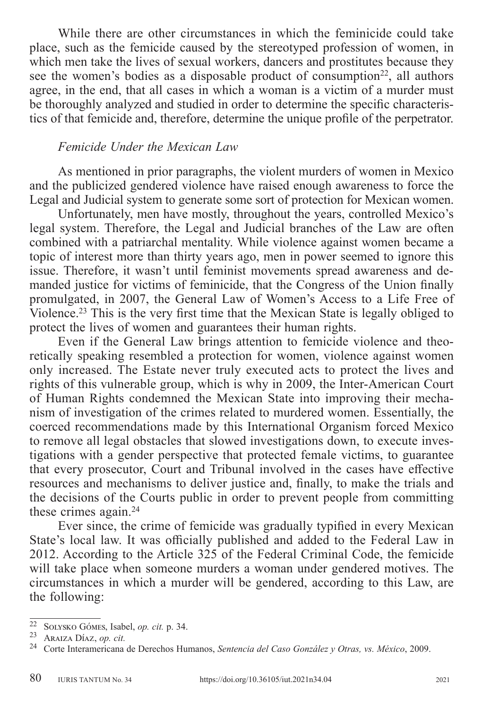While there are other circumstances in which the feminicide could take place, such as the femicide caused by the stereotyped profession of women, in which men take the lives of sexual workers, dancers and prostitutes because they see the women's bodies as a disposable product of consumption<sup>22</sup>, all authors agree, in the end, that all cases in which a woman is a victim of a murder must be thoroughly analyzed and studied in order to determine the specific characteristics of that femicide and, therefore, determine the unique profile of the perpetrator.

## *Femicide Under the Mexican Law*

As mentioned in prior paragraphs, the violent murders of women in Mexico and the publicized gendered violence have raised enough awareness to force the Legal and Judicial system to generate some sort of protection for Mexican women.

Unfortunately, men have mostly, throughout the years, controlled Mexico's legal system. Therefore, the Legal and Judicial branches of the Law are often combined with a patriarchal mentality. While violence against women became a topic of interest more than thirty years ago, men in power seemed to ignore this issue. Therefore, it wasn't until feminist movements spread awareness and demanded justice for victims of feminicide, that the Congress of the Union finally promulgated, in 2007, the General Law of Women's Access to a Life Free of Violence.23 This is the very first time that the Mexican State is legally obliged to protect the lives of women and guarantees their human rights.

Even if the General Law brings attention to femicide violence and theoretically speaking resembled a protection for women, violence against women only increased. The Estate never truly executed acts to protect the lives and rights of this vulnerable group, which is why in 2009, the Inter-American Court of Human Rights condemned the Mexican State into improving their mechanism of investigation of the crimes related to murdered women. Essentially, the coerced recommendations made by this International Organism forced Mexico to remove all legal obstacles that slowed investigations down, to execute investigations with a gender perspective that protected female victims, to guarantee that every prosecutor, Court and Tribunal involved in the cases have effective resources and mechanisms to deliver justice and, finally, to make the trials and the decisions of the Courts public in order to prevent people from committing these crimes again.24

Ever since, the crime of femicide was gradually typified in every Mexican State's local law. It was officially published and added to the Federal Law in 2012. According to the Article 325 of the Federal Criminal Code, the femicide will take place when someone murders a woman under gendered motives. The circumstances in which a murder will be gendered, according to this Law, are the following:

<sup>22</sup> Solysko Gómes, Isabel, *op. cit.* p. 34. <sup>23</sup> Araiza Díaz, *op. cit.* <sup>24</sup> Corte Interamericana de Derechos Humanos, *Sentencia del Caso González y Otras, vs. México*, 2009.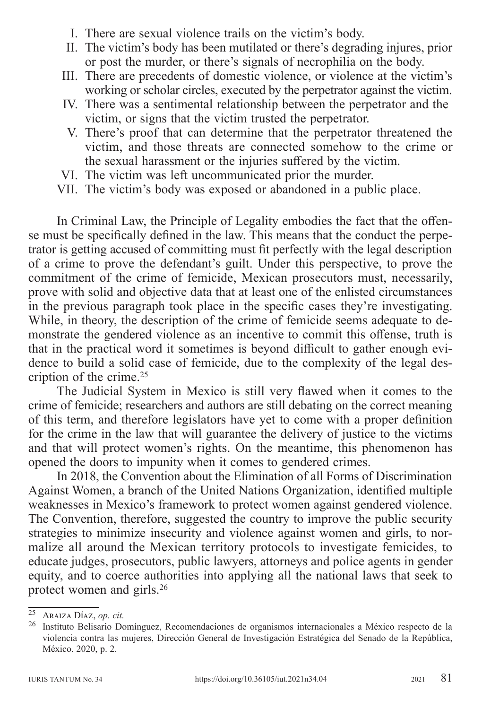- I. There are sexual violence trails on the victim's body.
- II. The victim's body has been mutilated or there's degrading injures, prior or post the murder, or there's signals of necrophilia on the body.
- III. There are precedents of domestic violence, or violence at the victim's working or scholar circles, executed by the perpetrator against the victim.
- IV. There was a sentimental relationship between the perpetrator and the victim, or signs that the victim trusted the perpetrator.
- V. There's proof that can determine that the perpetrator threatened the victim, and those threats are connected somehow to the crime or the sexual harassment or the injuries suffered by the victim.
- VI. The victim was left uncommunicated prior the murder.
- VII. The victim's body was exposed or abandoned in a public place.

In Criminal Law, the Principle of Legality embodies the fact that the offense must be specifically defined in the law. This means that the conduct the perpetrator is getting accused of committing must fit perfectly with the legal description of a crime to prove the defendant's guilt. Under this perspective, to prove the commitment of the crime of femicide, Mexican prosecutors must, necessarily, prove with solid and objective data that at least one of the enlisted circumstances in the previous paragraph took place in the specific cases they're investigating. While, in theory, the description of the crime of femicide seems adequate to demonstrate the gendered violence as an incentive to commit this offense, truth is that in the practical word it sometimes is beyond difficult to gather enough evidence to build a solid case of femicide, due to the complexity of the legal description of the crime.25

The Judicial System in Mexico is still very flawed when it comes to the crime of femicide; researchers and authors are still debating on the correct meaning of this term, and therefore legislators have yet to come with a proper definition for the crime in the law that will guarantee the delivery of justice to the victims and that will protect women's rights. On the meantime, this phenomenon has opened the doors to impunity when it comes to gendered crimes.

In 2018, the Convention about the Elimination of all Forms of Discrimination Against Women, a branch of the United Nations Organization, identified multiple weaknesses in Mexico's framework to protect women against gendered violence. The Convention, therefore, suggested the country to improve the public security strategies to minimize insecurity and violence against women and girls, to normalize all around the Mexican territory protocols to investigate femicides, to educate judges, prosecutors, public lawyers, attorneys and police agents in gender equity, and to coerce authorities into applying all the national laws that seek to protect women and girls.26

<sup>&</sup>lt;sup>25</sup> Araiza Díaz, *op. cit.*<br><sup>26</sup> Instituto Belisario Domínguez, Recomendaciones de organismos internacionales a México respecto de la violencia contra las mujeres, Dirección General de Investigación Estratégica del Senado de la República, México. 2020, p. 2.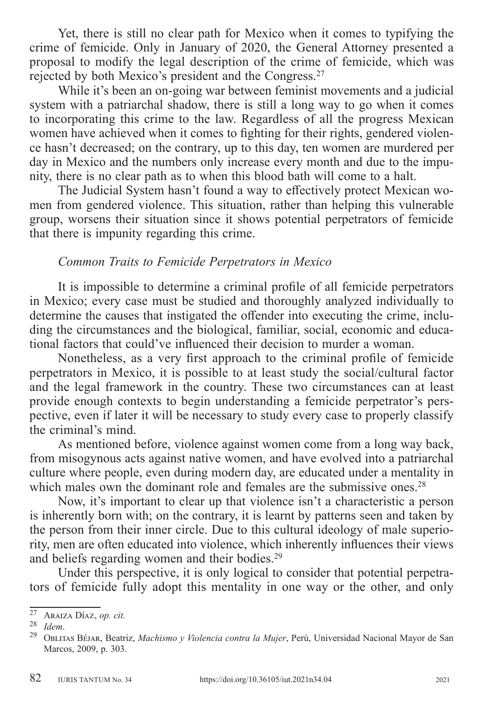Yet, there is still no clear path for Mexico when it comes to typifying the crime of femicide. Only in January of 2020, the General Attorney presented a proposal to modify the legal description of the crime of femicide, which was rejected by both Mexico's president and the Congress.27

While it's been an on-going war between feminist movements and a judicial system with a patriarchal shadow, there is still a long way to go when it comes to incorporating this crime to the law. Regardless of all the progress Mexican women have achieved when it comes to fighting for their rights, gendered violence hasn't decreased; on the contrary, up to this day, ten women are murdered per day in Mexico and the numbers only increase every month and due to the impunity, there is no clear path as to when this blood bath will come to a halt.

The Judicial System hasn't found a way to effectively protect Mexican women from gendered violence. This situation, rather than helping this vulnerable group, worsens their situation since it shows potential perpetrators of femicide that there is impunity regarding this crime.

## *Common Traits to Femicide Perpetrators in Mexico*

It is impossible to determine a criminal profile of all femicide perpetrators in Mexico; every case must be studied and thoroughly analyzed individually to determine the causes that instigated the offender into executing the crime, including the circumstances and the biological, familiar, social, economic and educational factors that could've influenced their decision to murder a woman.

Nonetheless, as a very first approach to the criminal profile of femicide perpetrators in Mexico, it is possible to at least study the social/cultural factor and the legal framework in the country. These two circumstances can at least provide enough contexts to begin understanding a femicide perpetrator's perspective, even if later it will be necessary to study every case to properly classify the criminal's mind.

As mentioned before, violence against women come from a long way back, from misogynous acts against native women, and have evolved into a patriarchal culture where people, even during modern day, are educated under a mentality in which males own the dominant role and females are the submissive ones.<sup>28</sup>

Now, it's important to clear up that violence isn't a characteristic a person is inherently born with; on the contrary, it is learnt by patterns seen and taken by the person from their inner circle. Due to this cultural ideology of male superiority, men are often educated into violence, which inherently influences their views and beliefs regarding women and their bodies.29

Under this perspective, it is only logical to consider that potential perpetrators of femicide fully adopt this mentality in one way or the other, and only

<sup>&</sup>lt;sup>27</sup> Araiza Díaz, *op. cit.*<br><sup>28</sup> *Idem.*<br><sup>29</sup> Oblitas Béjar, Beatriz, *Machismo y Violencia contra la Mujer*, Perú, Universidad Nacional Mayor de San Marcos, 2009, p. 303.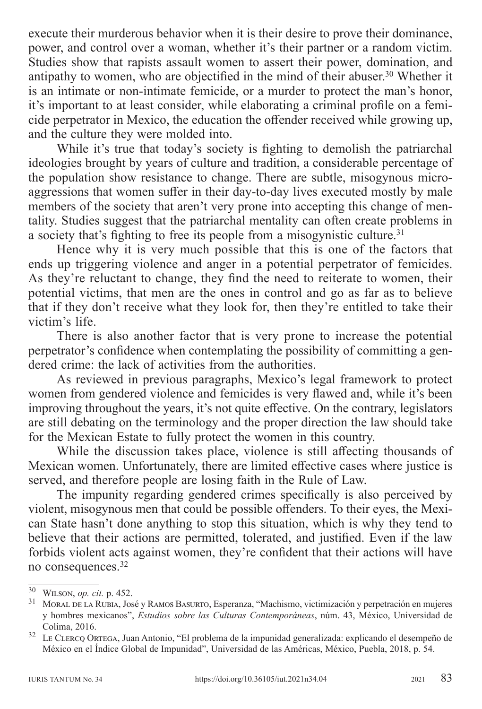execute their murderous behavior when it is their desire to prove their dominance, power, and control over a woman, whether it's their partner or a random victim. Studies show that rapists assault women to assert their power, domination, and antipathy to women, who are objectified in the mind of their abuser.<sup>30</sup> Whether it is an intimate or non-intimate femicide, or a murder to protect the man's honor, it's important to at least consider, while elaborating a criminal profile on a femicide perpetrator in Mexico, the education the offender received while growing up, and the culture they were molded into.

While it's true that today's society is fighting to demolish the patriarchal ideologies brought by years of culture and tradition, a considerable percentage of the population show resistance to change. There are subtle, misogynous microaggressions that women suffer in their day-to-day lives executed mostly by male members of the society that aren't very prone into accepting this change of mentality. Studies suggest that the patriarchal mentality can often create problems in a society that's fighting to free its people from a misogynistic culture.<sup>31</sup>

Hence why it is very much possible that this is one of the factors that ends up triggering violence and anger in a potential perpetrator of femicides. As they're reluctant to change, they find the need to reiterate to women, their potential victims, that men are the ones in control and go as far as to believe that if they don't receive what they look for, then they're entitled to take their victim's life.

There is also another factor that is very prone to increase the potential perpetrator's confidence when contemplating the possibility of committing a gendered crime: the lack of activities from the authorities.

As reviewed in previous paragraphs, Mexico's legal framework to protect women from gendered violence and femicides is very flawed and, while it's been improving throughout the years, it's not quite effective. On the contrary, legislators are still debating on the terminology and the proper direction the law should take for the Mexican Estate to fully protect the women in this country.

While the discussion takes place, violence is still affecting thousands of Mexican women. Unfortunately, there are limited effective cases where justice is served, and therefore people are losing faith in the Rule of Law.

The impunity regarding gendered crimes specifically is also perceived by violent, misogynous men that could be possible offenders. To their eyes, the Mexican State hasn't done anything to stop this situation, which is why they tend to believe that their actions are permitted, tolerated, and justified. Even if the law forbids violent acts against women, they're confident that their actions will have no consequences.32

<sup>&</sup>lt;sup>30</sup> WILSON, *op. cit.* p. 452.<br><sup>31</sup> Moral de la Rubia, José y Ramos Basurto, Esperanza, "Machismo, victimización y perpetración en mujeres y hombres mexicanos", *Estudios sobre las Culturas Contemporáneas*, núm. 43, México, Universidad de

Colima, 2016. <sup>32</sup> Le Clercq Ortega, Juan Antonio, "El problema de la impunidad generalizada: explicando el desempeño de México en el Índice Global de Impunidad", Universidad de las Américas, México, Puebla, 2018, p. 54.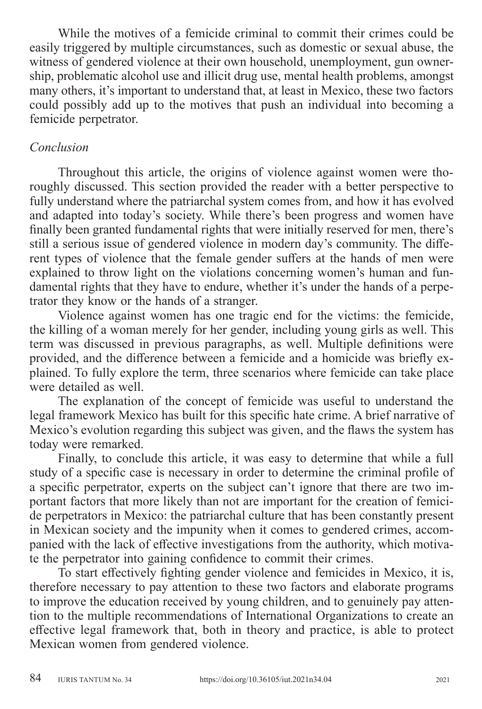While the motives of a femicide criminal to commit their crimes could be easily triggered by multiple circumstances, such as domestic or sexual abuse, the witness of gendered violence at their own household, unemployment, gun ownership, problematic alcohol use and illicit drug use, mental health problems, amongst many others, it's important to understand that, at least in Mexico, these two factors could possibly add up to the motives that push an individual into becoming a femicide perpetrator.

### *Conclusion*

Throughout this article, the origins of violence against women were thoroughly discussed. This section provided the reader with a better perspective to fully understand where the patriarchal system comes from, and how it has evolved and adapted into today's society. While there's been progress and women have finally been granted fundamental rights that were initially reserved for men, there's still a serious issue of gendered violence in modern day's community. The different types of violence that the female gender suffers at the hands of men were explained to throw light on the violations concerning women's human and fundamental rights that they have to endure, whether it's under the hands of a perpetrator they know or the hands of a stranger.

Violence against women has one tragic end for the victims: the femicide, the killing of a woman merely for her gender, including young girls as well. This term was discussed in previous paragraphs, as well. Multiple definitions were provided, and the difference between a femicide and a homicide was briefly explained. To fully explore the term, three scenarios where femicide can take place were detailed as well.

The explanation of the concept of femicide was useful to understand the legal framework Mexico has built for this specific hate crime. A brief narrative of Mexico's evolution regarding this subject was given, and the flaws the system has today were remarked.

Finally, to conclude this article, it was easy to determine that while a full study of a specific case is necessary in order to determine the criminal profile of a specific perpetrator, experts on the subject can't ignore that there are two important factors that more likely than not are important for the creation of femicide perpetrators in Mexico: the patriarchal culture that has been constantly present in Mexican society and the impunity when it comes to gendered crimes, accompanied with the lack of effective investigations from the authority, which motivate the perpetrator into gaining confidence to commit their crimes.

To start effectively fighting gender violence and femicides in Mexico, it is, therefore necessary to pay attention to these two factors and elaborate programs to improve the education received by young children, and to genuinely pay attention to the multiple recommendations of International Organizations to create an effective legal framework that, both in theory and practice, is able to protect Mexican women from gendered violence.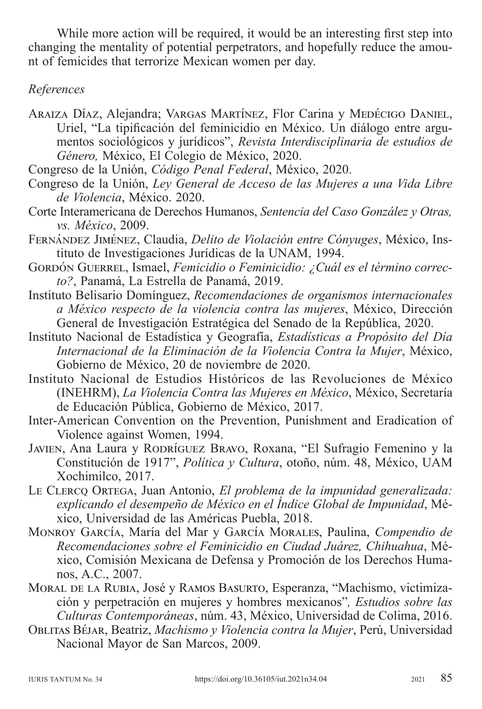While more action will be required, it would be an interesting first step into changing the mentality of potential perpetrators, and hopefully reduce the amount of femicides that terrorize Mexican women per day.

### *References*

- Araiza Díaz, Alejandra; Vargas Martínez, Flor Carina y Medécigo Daniel, Uriel, "La tipificación del feminicidio en México. Un diálogo entre argumentos sociológicos y jurídicos", *Revista Interdisciplinaria de estudios de Género,* México, El Colegio de México, 2020.
- Congreso de la Unión, *Código Penal Federal*, México, 2020.
- Congreso de la Unión, *Ley General de Acceso de las Mujeres a una Vida Libre de Violencia*, México. 2020.
- Corte Interamericana de Derechos Humanos, *Sentencia del Caso González y Otras, vs. México*, 2009.
- Fernández Jiménez, Claudia, *Delito de Violación entre Cónyuges*, México, Instituto de Investigaciones Jurídicas de la UNAM, 1994.
- GORDÓN GUERREL, Ismael, *Femicidio o Feminicidio: ¿Cuál es el término correcto?*, Panamá, La Estrella de Panamá, 2019.
- Instituto Belisario Domínguez, *Recomendaciones de organismos internacionales a México respecto de la violencia contra las mujeres*, México, Dirección General de Investigación Estratégica del Senado de la República, 2020.
- Instituto Nacional de Estadística y Geografía, *Estadísticas a Propósito del Día Internacional de la Eliminación de la Violencia Contra la Mujer*, México, Gobierno de México, 20 de noviembre de 2020.
- Instituto Nacional de Estudios Históricos de las Revoluciones de México (INEHRM), *La Violencia Contra las Mujeres en México*, México, Secretaría de Educación Pública, Gobierno de México, 2017.
- Inter-American Convention on the Prevention, Punishment and Eradication of Violence against Women, 1994.
- JAVIEN, Ana Laura y RODRÍGUEZ BRAVO, Roxana, "El Sufragio Femenino y la Constitución de 1917", *Política y Cultura*, otoño, núm. 48, México, UAM Xochimilco, 2017.
- Le Clercq Ortega, Juan Antonio, *El problema de la impunidad generalizada: explicando el desempeño de México en el Índice Global de Impunidad*, México, Universidad de las Américas Puebla, 2018.
- Monroy García, María del Mar y García Morales, Paulina, *Compendio de Recomendaciones sobre el Feminicidio en Ciudad Juárez, Chihuahua*, México, Comisión Mexicana de Defensa y Promoción de los Derechos Humanos, A.C., 2007.
- Moral de la Rubia, José y Ramos Basurto, Esperanza, "Machismo, victimización y perpetración en mujeres y hombres mexicanos"*, Estudios sobre las Culturas Contemporáneas*, núm. 43, México, Universidad de Colima, 2016.
- Oblitas Béjar, Beatriz, *Machismo y Violencia contra la Mujer*, Perú, Universidad Nacional Mayor de San Marcos, 2009.